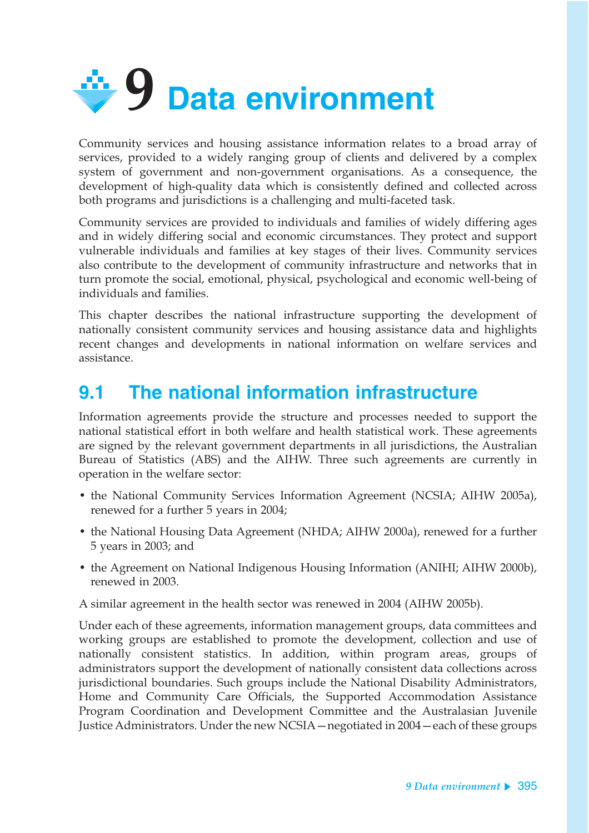

Community services and housing assistance information relates to a broad array of services, provided to a widely ranging group of clients and delivered by a complex system of government and non-government organisations. As a consequence, the development of high-quality data which is consistently defined and collected across both programs and jurisdictions is a challenging and multi-faceted task.

Community services are provided to individuals and families of widely differing ages and in widely differing social and economic circumstances. They protect and support vulnerable individuals and families at key stages of their lives. Community services also contribute to the development of community infrastructure and networks that in turn promote the social, emotional, physical, psychological and economic well-being of individuals and families.

This chapter describes the national infrastructure supporting the development of nationally consistent community services and housing assistance data and highlights recent changes and developments in national information on welfare services and assistance.

# **9.1 The national information infrastructure**

Information agreements provide the structure and processes needed to support the national statistical effort in both welfare and health statistical work. These agreements are signed by the relevant government departments in all jurisdictions, the Australian Bureau of Statistics (ABS) and the AIHW. Three such agreements are currently in operation in the welfare sector:

- the National Community Services Information Agreement (NCSIA; AIHW 2005a), renewed for a further 5 years in 2004;
- the National Housing Data Agreement (NHDA; AIHW 2000a), renewed for a further 5 years in 2003; and
- the Agreement on National Indigenous Housing Information (ANIHI; AIHW 2000b), renewed in 2003.

A similar agreement in the health sector was renewed in 2004 (AIHW 2005b).

Under each of these agreements, information management groups, data committees and working groups are established to promote the development, collection and use of nationally consistent statistics. In addition, within program areas, groups of administrators support the development of nationally consistent data collections across jurisdictional boundaries. Such groups include the National Disability Administrators, Home and Community Care Officials, the Supported Accommodation Assistance Program Coordination and Development Committee and the Australasian Juvenile Justice Administrators. Under the new NCSIA—negotiated in 2004—each of these groups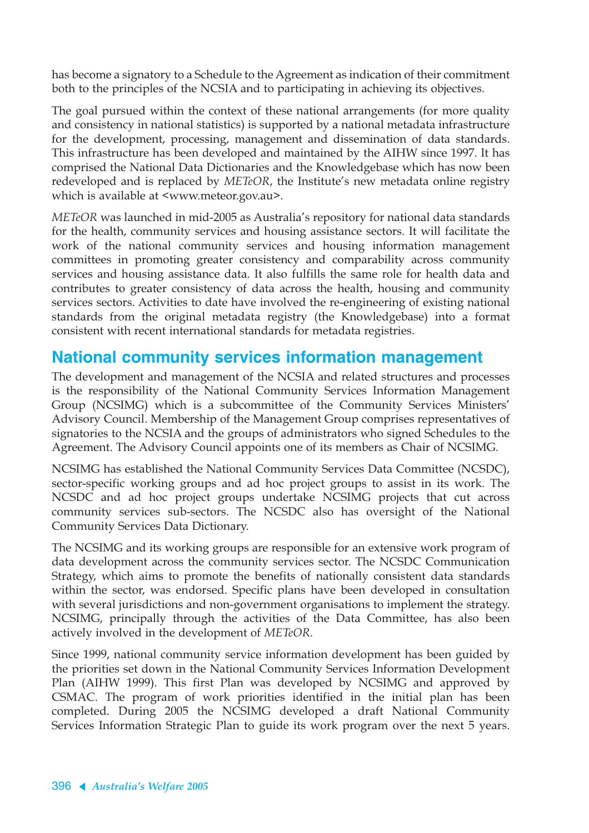has become a signatory to a Schedule to the Agreement as indication of their commitment both to the principles of the NCSIA and to participating in achieving its objectives.

The goal pursued within the context of these national arrangements (for more quality and consistency in national statistics) is supported by a national metadata infrastructure for the development, processing, management and dissemination of data standards. This infrastructure has been developed and maintained by the AIHW since 1997. It has comprised the National Data Dictionaries and the Knowledgebase which has now been redeveloped and is replaced by *METeOR*, the Institute's new metadata online registry which is available at <www.meteor.gov.au>.

*METeOR* was launched in mid-2005 as Australia's repository for national data standards for the health, community services and housing assistance sectors. It will facilitate the work of the national community services and housing information management committees in promoting greater consistency and comparability across community services and housing assistance data. It also fulfills the same role for health data and contributes to greater consistency of data across the health, housing and community services sectors. Activities to date have involved the re-engineering of existing national standards from the original metadata registry (the Knowledgebase) into a format consistent with recent international standards for metadata registries.

#### **National community services information management**

The development and management of the NCSIA and related structures and processes is the responsibility of the National Community Services Information Management Group (NCSIMG) which is a subcommittee of the Community Services Ministers' Advisory Council. Membership of the Management Group comprises representatives of signatories to the NCSIA and the groups of administrators who signed Schedules to the Agreement. The Advisory Council appoints one of its members as Chair of NCSIMG.

NCSIMG has established the National Community Services Data Committee (NCSDC), sector-specific working groups and ad hoc project groups to assist in its work. The NCSDC and ad hoc project groups undertake NCSIMG projects that cut across community services sub-sectors. The NCSDC also has oversight of the National Community Services Data Dictionary.

The NCSIMG and its working groups are responsible for an extensive work program of data development across the community services sector. The NCSDC Communication Strategy, which aims to promote the benefits of nationally consistent data standards within the sector, was endorsed. Specific plans have been developed in consultation with several jurisdictions and non-government organisations to implement the strategy. NCSIMG, principally through the activities of the Data Committee, has also been actively involved in the development of *METeOR*.

Since 1999, national community service information development has been guided by the priorities set down in the National Community Services Information Development Plan (AIHW 1999). This first Plan was developed by NCSIMG and approved by CSMAC. The program of work priorities identified in the initial plan has been completed. During 2005 the NCSIMG developed a draft National Community Services Information Strategic Plan to guide its work program over the next 5 years.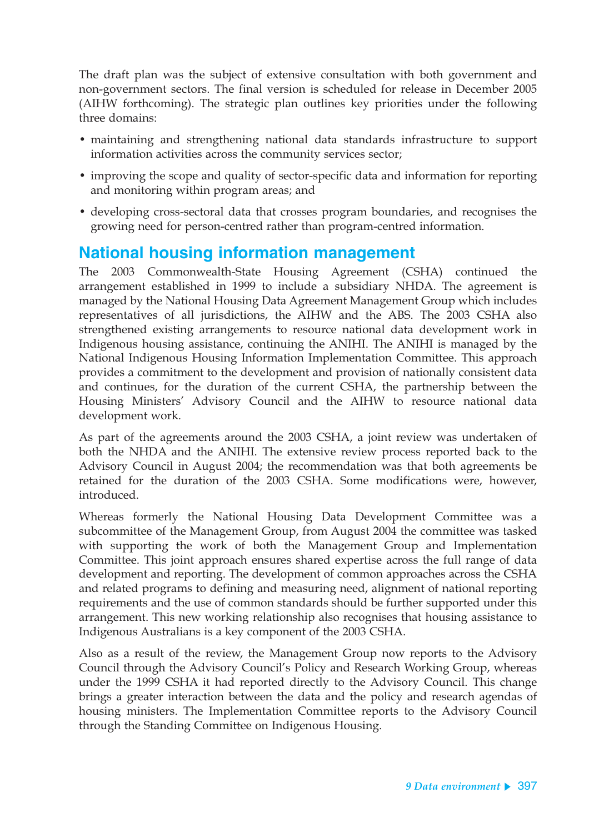The draft plan was the subject of extensive consultation with both government and non-government sectors. The final version is scheduled for release in December 2005 (AIHW forthcoming). The strategic plan outlines key priorities under the following three domains:

- maintaining and strengthening national data standards infrastructure to support information activities across the community services sector;
- improving the scope and quality of sector-specific data and information for reporting and monitoring within program areas; and
- developing cross-sectoral data that crosses program boundaries, and recognises the growing need for person-centred rather than program-centred information.

#### **National housing information management**

The 2003 Commonwealth-State Housing Agreement (CSHA) continued the arrangement established in 1999 to include a subsidiary NHDA. The agreement is managed by the National Housing Data Agreement Management Group which includes representatives of all jurisdictions, the AIHW and the ABS. The 2003 CSHA also strengthened existing arrangements to resource national data development work in Indigenous housing assistance, continuing the ANIHI. The ANIHI is managed by the National Indigenous Housing Information Implementation Committee. This approach provides a commitment to the development and provision of nationally consistent data and continues, for the duration of the current CSHA, the partnership between the Housing Ministers' Advisory Council and the AIHW to resource national data development work.

As part of the agreements around the 2003 CSHA, a joint review was undertaken of both the NHDA and the ANIHI. The extensive review process reported back to the Advisory Council in August 2004; the recommendation was that both agreements be retained for the duration of the 2003 CSHA. Some modifications were, however, introduced.

Whereas formerly the National Housing Data Development Committee was a subcommittee of the Management Group, from August 2004 the committee was tasked with supporting the work of both the Management Group and Implementation Committee. This joint approach ensures shared expertise across the full range of data development and reporting. The development of common approaches across the CSHA and related programs to defining and measuring need, alignment of national reporting requirements and the use of common standards should be further supported under this arrangement. This new working relationship also recognises that housing assistance to Indigenous Australians is a key component of the 2003 CSHA.

Also as a result of the review, the Management Group now reports to the Advisory Council through the Advisory Council's Policy and Research Working Group, whereas under the 1999 CSHA it had reported directly to the Advisory Council. This change brings a greater interaction between the data and the policy and research agendas of housing ministers. The Implementation Committee reports to the Advisory Council through the Standing Committee on Indigenous Housing.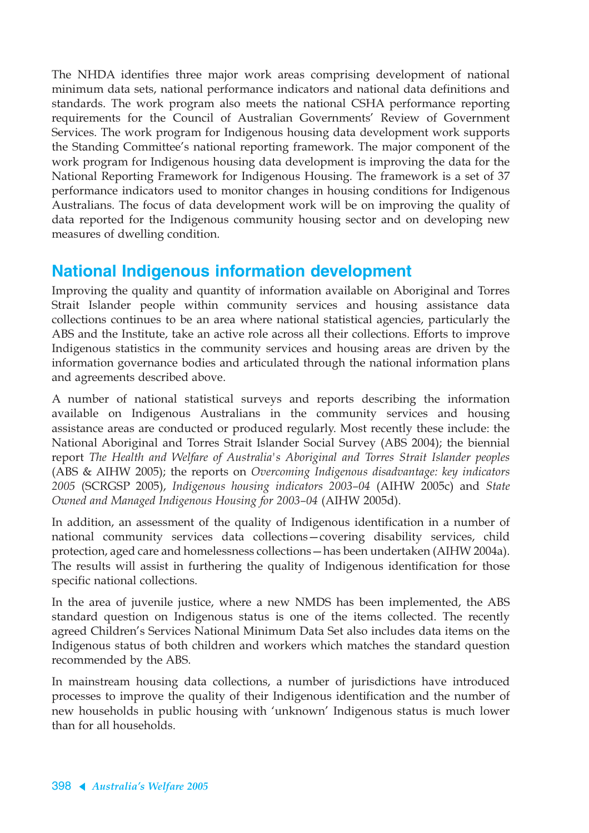The NHDA identifies three major work areas comprising development of national minimum data sets, national performance indicators and national data definitions and standards. The work program also meets the national CSHA performance reporting requirements for the Council of Australian Governments' Review of Government Services. The work program for Indigenous housing data development work supports the Standing Committee's national reporting framework. The major component of the work program for Indigenous housing data development is improving the data for the National Reporting Framework for Indigenous Housing. The framework is a set of 37 performance indicators used to monitor changes in housing conditions for Indigenous Australians. The focus of data development work will be on improving the quality of data reported for the Indigenous community housing sector and on developing new measures of dwelling condition.

### **National Indigenous information development**

Improving the quality and quantity of information available on Aboriginal and Torres Strait Islander people within community services and housing assistance data collections continues to be an area where national statistical agencies, particularly the ABS and the Institute, take an active role across all their collections. Efforts to improve Indigenous statistics in the community services and housing areas are driven by the information governance bodies and articulated through the national information plans and agreements described above.

A number of national statistical surveys and reports describing the information available on Indigenous Australians in the community services and housing assistance areas are conducted or produced regularly. Most recently these include: the National Aboriginal and Torres Strait Islander Social Survey (ABS 2004); the biennial report *The Health and Welfare of Australia's Aboriginal and Torres Strait Islander peoples* (ABS & AIHW 2005); the reports on *Overcoming Indigenous disadvantage: key indicators 2005* (SCRGSP 2005), *Indigenous housing indicators 2003–04* (AIHW 2005c) and *State Owned and Managed Indigenous Housing for 2003–04* (AIHW 2005d).

In addition, an assessment of the quality of Indigenous identification in a number of national community services data collections—covering disability services, child protection, aged care and homelessness collections—has been undertaken (AIHW 2004a). The results will assist in furthering the quality of Indigenous identification for those specific national collections.

In the area of juvenile justice, where a new NMDS has been implemented, the ABS standard question on Indigenous status is one of the items collected. The recently agreed Children's Services National Minimum Data Set also includes data items on the Indigenous status of both children and workers which matches the standard question recommended by the ABS.

In mainstream housing data collections, a number of jurisdictions have introduced processes to improve the quality of their Indigenous identification and the number of new households in public housing with 'unknown' Indigenous status is much lower than for all households.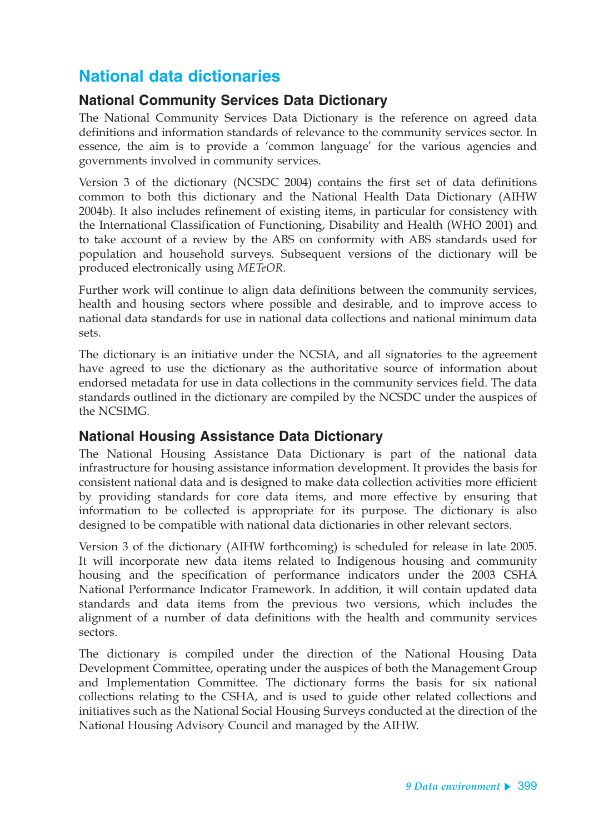### **National data dictionaries**

#### **National Community Services Data Dictionary**

The National Community Services Data Dictionary is the reference on agreed data definitions and information standards of relevance to the community services sector. In essence, the aim is to provide a 'common language' for the various agencies and governments involved in community services.

Version 3 of the dictionary (NCSDC 2004) contains the first set of data definitions common to both this dictionary and the National Health Data Dictionary (AIHW 2004b). It also includes refinement of existing items, in particular for consistency with the International Classification of Functioning, Disability and Health (WHO 2001) and to take account of a review by the ABS on conformity with ABS standards used for population and household surveys. Subsequent versions of the dictionary will be produced electronically using *METeOR*.

Further work will continue to align data definitions between the community services, health and housing sectors where possible and desirable, and to improve access to national data standards for use in national data collections and national minimum data sets.

The dictionary is an initiative under the NCSIA, and all signatories to the agreement have agreed to use the dictionary as the authoritative source of information about endorsed metadata for use in data collections in the community services field. The data standards outlined in the dictionary are compiled by the NCSDC under the auspices of the NCSIMG.

#### **National Housing Assistance Data Dictionary**

The National Housing Assistance Data Dictionary is part of the national data infrastructure for housing assistance information development. It provides the basis for consistent national data and is designed to make data collection activities more efficient by providing standards for core data items, and more effective by ensuring that information to be collected is appropriate for its purpose. The dictionary is also designed to be compatible with national data dictionaries in other relevant sectors.

Version 3 of the dictionary (AIHW forthcoming) is scheduled for release in late 2005. It will incorporate new data items related to Indigenous housing and community housing and the specification of performance indicators under the 2003 CSHA National Performance Indicator Framework. In addition, it will contain updated data standards and data items from the previous two versions, which includes the alignment of a number of data definitions with the health and community services sectors.

The dictionary is compiled under the direction of the National Housing Data Development Committee, operating under the auspices of both the Management Group and Implementation Committee. The dictionary forms the basis for six national collections relating to the CSHA, and is used to guide other related collections and initiatives such as the National Social Housing Surveys conducted at the direction of the National Housing Advisory Council and managed by the AIHW.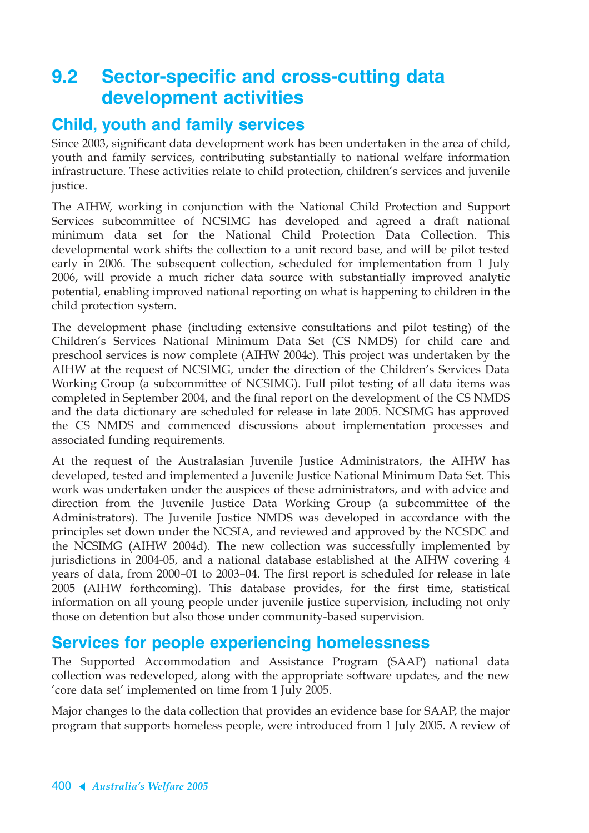## **9.2 Sector-specific and cross-cutting data development activities**

#### **Child, youth and family services**

Since 2003, significant data development work has been undertaken in the area of child, youth and family services, contributing substantially to national welfare information infrastructure. These activities relate to child protection, children's services and juvenile justice.

The AIHW, working in conjunction with the National Child Protection and Support Services subcommittee of NCSIMG has developed and agreed a draft national minimum data set for the National Child Protection Data Collection. This developmental work shifts the collection to a unit record base, and will be pilot tested early in 2006. The subsequent collection, scheduled for implementation from 1 July 2006, will provide a much richer data source with substantially improved analytic potential, enabling improved national reporting on what is happening to children in the child protection system.

The development phase (including extensive consultations and pilot testing) of the Children's Services National Minimum Data Set (CS NMDS) for child care and preschool services is now complete (AIHW 2004c). This project was undertaken by the AIHW at the request of NCSIMG, under the direction of the Children's Services Data Working Group (a subcommittee of NCSIMG). Full pilot testing of all data items was completed in September 2004, and the final report on the development of the CS NMDS and the data dictionary are scheduled for release in late 2005. NCSIMG has approved the CS NMDS and commenced discussions about implementation processes and associated funding requirements.

At the request of the Australasian Juvenile Justice Administrators, the AIHW has developed, tested and implemented a Juvenile Justice National Minimum Data Set. This work was undertaken under the auspices of these administrators, and with advice and direction from the Juvenile Justice Data Working Group (a subcommittee of the Administrators). The Juvenile Justice NMDS was developed in accordance with the principles set down under the NCSIA, and reviewed and approved by the NCSDC and the NCSIMG (AIHW 2004d). The new collection was successfully implemented by jurisdictions in 2004-05, and a national database established at the AIHW covering 4 years of data, from 2000–01 to 2003–04. The first report is scheduled for release in late 2005 (AIHW forthcoming). This database provides, for the first time, statistical information on all young people under juvenile justice supervision, including not only those on detention but also those under community-based supervision.

#### **Services for people experiencing homelessness**

The Supported Accommodation and Assistance Program (SAAP) national data collection was redeveloped, along with the appropriate software updates, and the new 'core data set' implemented on time from 1 July 2005.

Major changes to the data collection that provides an evidence base for SAAP, the major program that supports homeless people, were introduced from 1 July 2005. A review of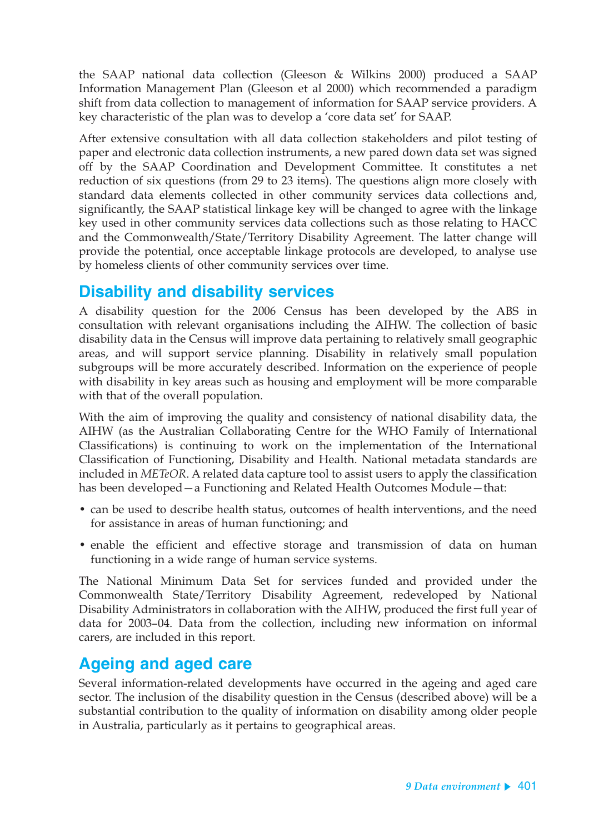the SAAP national data collection (Gleeson & Wilkins 2000) produced a SAAP Information Management Plan (Gleeson et al 2000) which recommended a paradigm shift from data collection to management of information for SAAP service providers. A key characteristic of the plan was to develop a 'core data set' for SAAP.

After extensive consultation with all data collection stakeholders and pilot testing of paper and electronic data collection instruments, a new pared down data set was signed off by the SAAP Coordination and Development Committee. It constitutes a net reduction of six questions (from 29 to 23 items). The questions align more closely with standard data elements collected in other community services data collections and, significantly, the SAAP statistical linkage key will be changed to agree with the linkage key used in other community services data collections such as those relating to HACC and the Commonwealth/State/Territory Disability Agreement. The latter change will provide the potential, once acceptable linkage protocols are developed, to analyse use by homeless clients of other community services over time.

#### **Disability and disability services**

A disability question for the 2006 Census has been developed by the ABS in consultation with relevant organisations including the AIHW. The collection of basic disability data in the Census will improve data pertaining to relatively small geographic areas, and will support service planning. Disability in relatively small population subgroups will be more accurately described. Information on the experience of people with disability in key areas such as housing and employment will be more comparable with that of the overall population.

With the aim of improving the quality and consistency of national disability data, the AIHW (as the Australian Collaborating Centre for the WHO Family of International Classifications) is continuing to work on the implementation of the International Classification of Functioning, Disability and Health. National metadata standards are included in *METeOR*. A related data capture tool to assist users to apply the classification has been developed—a Functioning and Related Health Outcomes Module—that:

- can be used to describe health status, outcomes of health interventions, and the need for assistance in areas of human functioning; and
- enable the efficient and effective storage and transmission of data on human functioning in a wide range of human service systems.

The National Minimum Data Set for services funded and provided under the Commonwealth State/Territory Disability Agreement, redeveloped by National Disability Administrators in collaboration with the AIHW, produced the first full year of data for 2003–04. Data from the collection, including new information on informal carers, are included in this report.

### **Ageing and aged care**

Several information-related developments have occurred in the ageing and aged care sector. The inclusion of the disability question in the Census (described above) will be a substantial contribution to the quality of information on disability among older people in Australia, particularly as it pertains to geographical areas.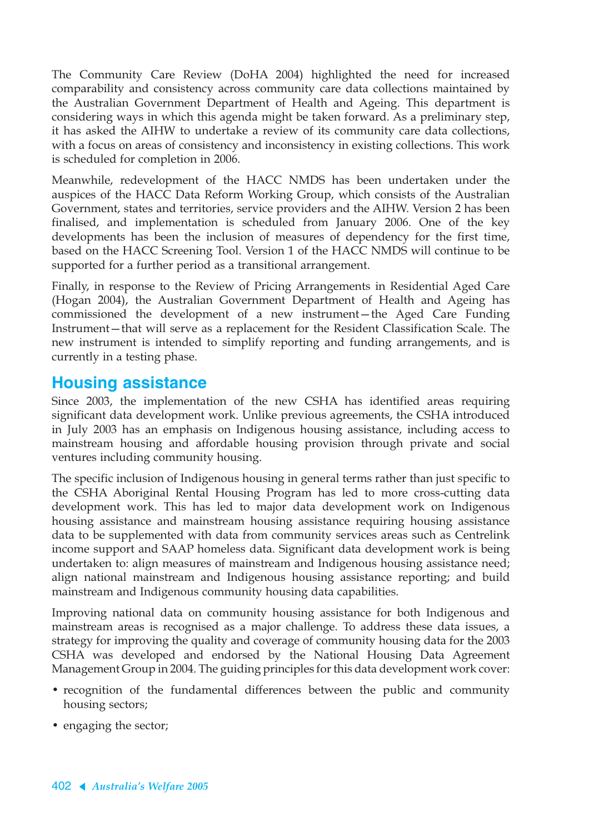The Community Care Review (DoHA 2004) highlighted the need for increased comparability and consistency across community care data collections maintained by the Australian Government Department of Health and Ageing. This department is considering ways in which this agenda might be taken forward. As a preliminary step, it has asked the AIHW to undertake a review of its community care data collections, with a focus on areas of consistency and inconsistency in existing collections. This work is scheduled for completion in 2006.

Meanwhile, redevelopment of the HACC NMDS has been undertaken under the auspices of the HACC Data Reform Working Group, which consists of the Australian Government, states and territories, service providers and the AIHW. Version 2 has been finalised, and implementation is scheduled from January 2006. One of the key developments has been the inclusion of measures of dependency for the first time, based on the HACC Screening Tool. Version 1 of the HACC NMDS will continue to be supported for a further period as a transitional arrangement.

Finally, in response to the Review of Pricing Arrangements in Residential Aged Care (Hogan 2004), the Australian Government Department of Health and Ageing has commissioned the development of a new instrument—the Aged Care Funding Instrument—that will serve as a replacement for the Resident Classification Scale. The new instrument is intended to simplify reporting and funding arrangements, and is currently in a testing phase.

#### **Housing assistance**

Since 2003, the implementation of the new CSHA has identified areas requiring significant data development work. Unlike previous agreements, the CSHA introduced in July 2003 has an emphasis on Indigenous housing assistance, including access to mainstream housing and affordable housing provision through private and social ventures including community housing.

The specific inclusion of Indigenous housing in general terms rather than just specific to the CSHA Aboriginal Rental Housing Program has led to more cross-cutting data development work. This has led to major data development work on Indigenous housing assistance and mainstream housing assistance requiring housing assistance data to be supplemented with data from community services areas such as Centrelink income support and SAAP homeless data. Significant data development work is being undertaken to: align measures of mainstream and Indigenous housing assistance need; align national mainstream and Indigenous housing assistance reporting; and build mainstream and Indigenous community housing data capabilities.

Improving national data on community housing assistance for both Indigenous and mainstream areas is recognised as a major challenge. To address these data issues, a strategy for improving the quality and coverage of community housing data for the 2003 CSHA was developed and endorsed by the National Housing Data Agreement Management Group in 2004. The guiding principles for this data development work cover:

- recognition of the fundamental differences between the public and community housing sectors;
- engaging the sector;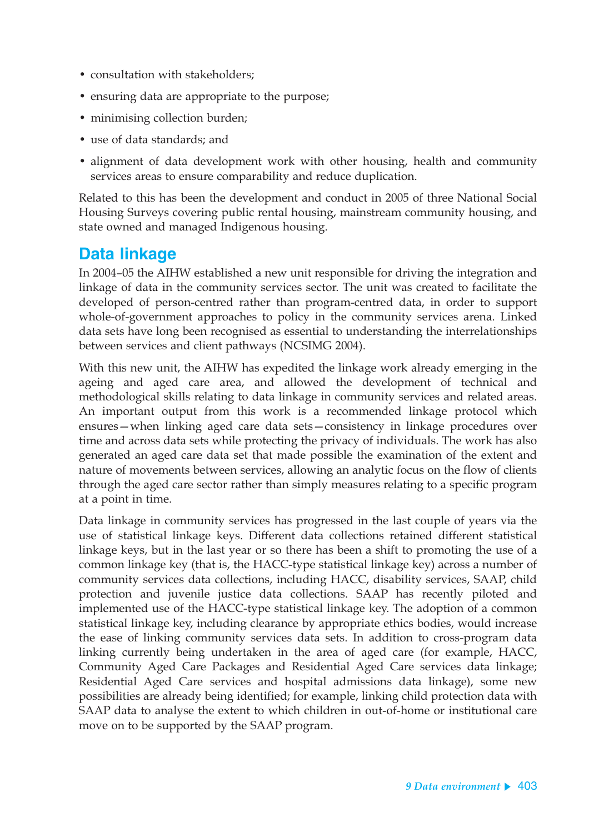- consultation with stakeholders:
- ensuring data are appropriate to the purpose;
- minimising collection burden;
- use of data standards; and
- alignment of data development work with other housing, health and community services areas to ensure comparability and reduce duplication.

Related to this has been the development and conduct in 2005 of three National Social Housing Surveys covering public rental housing, mainstream community housing, and state owned and managed Indigenous housing.

#### **Data linkage**

In 2004–05 the AIHW established a new unit responsible for driving the integration and linkage of data in the community services sector. The unit was created to facilitate the developed of person-centred rather than program-centred data, in order to support whole-of-government approaches to policy in the community services arena. Linked data sets have long been recognised as essential to understanding the interrelationships between services and client pathways (NCSIMG 2004).

With this new unit, the AIHW has expedited the linkage work already emerging in the ageing and aged care area, and allowed the development of technical and methodological skills relating to data linkage in community services and related areas. An important output from this work is a recommended linkage protocol which ensures—when linking aged care data sets—consistency in linkage procedures over time and across data sets while protecting the privacy of individuals. The work has also generated an aged care data set that made possible the examination of the extent and nature of movements between services, allowing an analytic focus on the flow of clients through the aged care sector rather than simply measures relating to a specific program at a point in time.

Data linkage in community services has progressed in the last couple of years via the use of statistical linkage keys. Different data collections retained different statistical linkage keys, but in the last year or so there has been a shift to promoting the use of a common linkage key (that is, the HACC-type statistical linkage key) across a number of community services data collections, including HACC, disability services, SAAP, child protection and juvenile justice data collections. SAAP has recently piloted and implemented use of the HACC-type statistical linkage key. The adoption of a common statistical linkage key, including clearance by appropriate ethics bodies, would increase the ease of linking community services data sets. In addition to cross-program data linking currently being undertaken in the area of aged care (for example, HACC, Community Aged Care Packages and Residential Aged Care services data linkage; Residential Aged Care services and hospital admissions data linkage), some new possibilities are already being identified; for example, linking child protection data with SAAP data to analyse the extent to which children in out-of-home or institutional care move on to be supported by the SAAP program.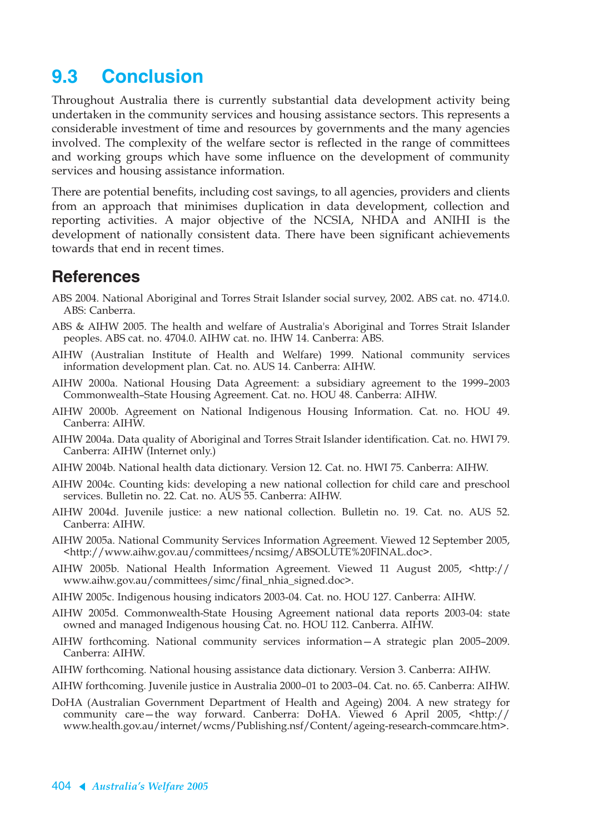# **9.3 Conclusion**

Throughout Australia there is currently substantial data development activity being undertaken in the community services and housing assistance sectors. This represents a considerable investment of time and resources by governments and the many agencies involved. The complexity of the welfare sector is reflected in the range of committees and working groups which have some influence on the development of community services and housing assistance information.

There are potential benefits, including cost savings, to all agencies, providers and clients from an approach that minimises duplication in data development, collection and reporting activities. A major objective of the NCSIA, NHDA and ANIHI is the development of nationally consistent data. There have been significant achievements towards that end in recent times.

#### **References**

- ABS 2004. National Aboriginal and Torres Strait Islander social survey, 2002. ABS cat. no. 4714.0. ABS: Canberra.
- ABS & AIHW 2005. The health and welfare of Australia's Aboriginal and Torres Strait Islander peoples. ABS cat. no. 4704.0. AIHW cat. no. IHW 14. Canberra: ABS.
- AIHW (Australian Institute of Health and Welfare) 1999. National community services information development plan. Cat. no. AUS 14. Canberra: AIHW.
- AIHW 2000a. National Housing Data Agreement: a subsidiary agreement to the 1999–2003 Commonwealth–State Housing Agreement. Cat. no. HOU 48. Canberra: AIHW.
- AIHW 2000b. Agreement on National Indigenous Housing Information. Cat. no. HOU 49. Canberra: AIHW.
- AIHW 2004a. Data quality of Aboriginal and Torres Strait Islander identification. Cat. no. HWI 79. Canberra: AIHW (Internet only.)
- AIHW 2004b. National health data dictionary. Version 12. Cat. no. HWI 75. Canberra: AIHW.
- AIHW 2004c. Counting kids: developing a new national collection for child care and preschool services. Bulletin no. 22. Cat. no. AUS 55. Canberra: AIHW.
- AIHW 2004d. Juvenile justice: a new national collection. Bulletin no. 19. Cat. no. AUS 52. Canberra: AIHW.
- AIHW 2005a. National Community Services Information Agreement. Viewed 12 September 2005, <http://www.aihw.gov.au/committees/ncsimg/ABSOLUTE%20FINAL.doc>.
- AIHW 2005b. National Health Information Agreement. Viewed 11 August 2005, <http:// www.aihw.gov.au/committees/simc/final\_nhia\_signed.doc>.
- AIHW 2005c. Indigenous housing indicators 2003-04. Cat. no. HOU 127. Canberra: AIHW.
- AIHW 2005d. Commonwealth-State Housing Agreement national data reports 2003-04: state owned and managed Indigenous housing Cat. no. HOU 112. Canberra. AIHW.
- AIHW forthcoming. National community services information—A strategic plan 2005–2009. Canberra: AIHW.
- AIHW forthcoming. National housing assistance data dictionary. Version 3. Canberra: AIHW.
- AIHW forthcoming. Juvenile justice in Australia 2000–01 to 2003–04. Cat. no. 65. Canberra: AIHW.
- DoHA (Australian Government Department of Health and Ageing) 2004. A new strategy for community care—the way forward. Canberra: DoHA. Viewed 6 April 2005, <http:// www.health.gov.au/internet/wcms/Publishing.nsf/Content/ageing-research-commcare.htm>.